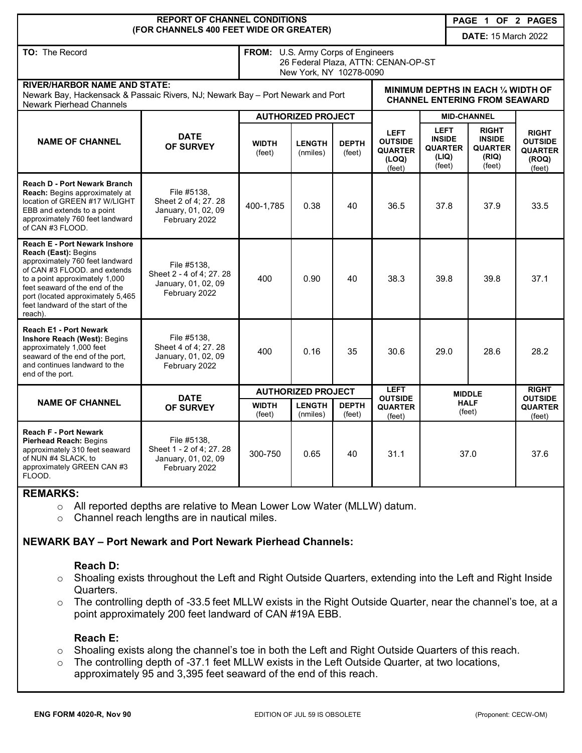| <b>REPORT OF CHANNEL CONDITIONS</b><br>PAGE 1 OF 2 PAGES                                                                                                                                                                                                                                 |                                                                                 |                                                                                                      |                           |                        |                                                                             |                                                                   |                       |                                                                    |                                                                     |
|------------------------------------------------------------------------------------------------------------------------------------------------------------------------------------------------------------------------------------------------------------------------------------------|---------------------------------------------------------------------------------|------------------------------------------------------------------------------------------------------|---------------------------|------------------------|-----------------------------------------------------------------------------|-------------------------------------------------------------------|-----------------------|--------------------------------------------------------------------|---------------------------------------------------------------------|
|                                                                                                                                                                                                                                                                                          | (FOR CHANNELS 400 FEET WIDE OR GREATER)                                         |                                                                                                      |                           |                        |                                                                             | <b>DATE: 15 March 2022</b>                                        |                       |                                                                    |                                                                     |
| TO: The Record                                                                                                                                                                                                                                                                           |                                                                                 | FROM: U.S. Army Corps of Engineers<br>26 Federal Plaza, ATTN: CENAN-OP-ST<br>New York, NY 10278-0090 |                           |                        |                                                                             |                                                                   |                       |                                                                    |                                                                     |
| <b>RIVER/HARBOR NAME AND STATE:</b><br>Newark Bay, Hackensack & Passaic Rivers, NJ; Newark Bay - Port Newark and Port<br><b>Newark Pierhead Channels</b>                                                                                                                                 |                                                                                 |                                                                                                      |                           |                        | MINIMUM DEPTHS IN EACH 1/4 WIDTH OF<br><b>CHANNEL ENTERING FROM SEAWARD</b> |                                                                   |                       |                                                                    |                                                                     |
| <b>NAME OF CHANNEL</b>                                                                                                                                                                                                                                                                   | <b>DATE</b><br><b>OF SURVEY</b>                                                 | <b>AUTHORIZED PROJECT</b>                                                                            |                           |                        |                                                                             | <b>MID-CHANNEL</b>                                                |                       |                                                                    |                                                                     |
|                                                                                                                                                                                                                                                                                          |                                                                                 | <b>WIDTH</b><br>(feet)                                                                               | <b>LENGTH</b><br>(nmiles) | <b>DEPTH</b><br>(feet) | <b>LEFT</b><br><b>OUTSIDE</b><br><b>QUARTER</b><br>(LOQ)<br>(feet)          | <b>LEFT</b><br><b>INSIDE</b><br><b>QUARTER</b><br>(LIQ)<br>(feet) |                       | <b>RIGHT</b><br><b>INSIDE</b><br><b>QUARTER</b><br>(RIQ)<br>(feet) | <b>RIGHT</b><br><b>OUTSIDE</b><br><b>QUARTER</b><br>(ROQ)<br>(feet) |
| <b>Reach D - Port Newark Branch</b><br><b>Reach:</b> Begins approximately at<br>location of GREEN #17 W/LIGHT<br>EBB and extends to a point<br>approximately 760 feet landward<br>of CAN #3 FLOOD.                                                                                       | File #5138.<br>Sheet 2 of 4; 27. 28<br>January, 01, 02, 09<br>February 2022     | 400-1,785                                                                                            | 0.38                      | 40                     | 36.5                                                                        | 37.8                                                              |                       | 37.9                                                               | 33.5                                                                |
| <b>Reach E - Port Newark Inshore</b><br>Reach (East): Begins<br>approximately 760 feet landward<br>of CAN #3 FLOOD. and extends<br>to a point approximately 1,000<br>feet seaward of the end of the<br>port (located approximately 5,465<br>feet landward of the start of the<br>reach). | File #5138.<br>Sheet 2 - 4 of 4; 27. 28<br>January, 01, 02, 09<br>February 2022 | 400                                                                                                  | 0.90                      | 40                     | 38.3                                                                        | 39.8                                                              |                       | 39.8                                                               | 37.1                                                                |
| Reach E1 - Port Newark<br>Inshore Reach (West): Begins<br>approximately 1,000 feet<br>seaward of the end of the port,<br>and continues landward to the<br>end of the port.                                                                                                               | File #5138,<br>Sheet 4 of 4; 27, 28<br>January, 01, 02, 09<br>February 2022     | 400                                                                                                  | 0.16                      | 35                     | 30.6                                                                        | 29.0                                                              |                       | 28.6                                                               | 28.2                                                                |
| <b>NAME OF CHANNEL</b>                                                                                                                                                                                                                                                                   | <b>DATE</b><br><b>OF SURVEY</b>                                                 | <b>AUTHORIZED PROJECT</b>                                                                            |                           |                        | <b>LEFT</b><br><b>OUTSIDE</b>                                               | <b>MIDDLE</b>                                                     |                       | <b>RIGHT</b><br><b>OUTSIDE</b>                                     |                                                                     |
|                                                                                                                                                                                                                                                                                          |                                                                                 | <b>WIDTH</b><br>(feet)                                                                               | <b>LENGTH</b><br>(nmiles) | <b>DEPTH</b><br>(feet) | <b>QUARTER</b><br>(feet)                                                    |                                                                   | <b>HALF</b><br>(feet) |                                                                    | <b>QUARTER</b><br>(feet)                                            |
| <b>Reach F - Port Newark</b><br><b>Pierhead Reach: Begins</b><br>approximately 310 feet seaward<br>of NUN #4 SLACK, to<br>approximately GREEN CAN #3<br>FLOOD.                                                                                                                           | File #5138,<br>Sheet 1 - 2 of 4; 27. 28<br>January, 01, 02, 09<br>February 2022 | 300-750                                                                                              | 0.65                      | 40                     | 31.1                                                                        |                                                                   | 37.0                  |                                                                    | 37.6                                                                |

#### **REMARKS:**

- o All reported depths are relative to Mean Lower Low Water (MLLW) datum.
- o Channel reach lengths are in nautical miles.

## **NEWARK BAY – Port Newark and Port Newark Pierhead Channels:**

#### **Reach D:**

- o Shoaling exists throughout the Left and Right Outside Quarters, extending into the Left and Right Inside Quarters.
- o The controlling depth of -33.5 feet MLLW exists in the Right Outside Quarter, near the channel's toe, at a point approximately 200 feet landward of CAN #19A EBB.

#### **Reach E:**

- o Shoaling exists along the channel's toe in both the Left and Right Outside Quarters of this reach.
- o The controlling depth of -37.1 feet MLLW exists in the Left Outside Quarter, at two locations, approximately 95 and 3,395 feet seaward of the end of this reach.